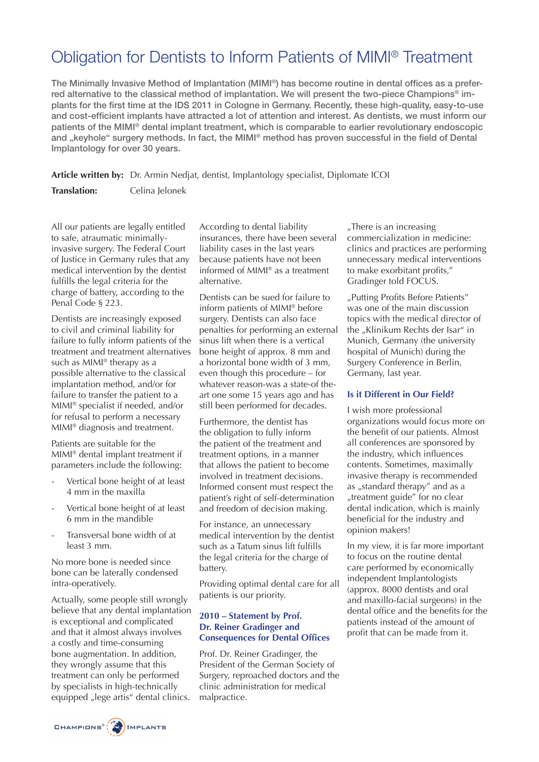# Obligation for Dentists to Inform Patients of MIMI® Treatment

The Minimally Invasive Method of Implantation (MIMI®) has become routine in dental offices as a preferred alternative to the classical method of implantation. We will present the two-piece Champions® implants for the first time at the IDS 2011 in Cologne in Germany. Recently, these high-quality, easy-to-use and cost-efficient implants have attracted a lot of attention and interest. As dentists, we must inform our patients of the MIMI® dental implant treatment, which is comparable to earlier revolutionary endoscopic and "keyhole" surgery methods. In fact, the MIMI® method has proven successful in the field of Dental Implantology for over 30 years.

**Article written by:** Dr. Armin Nedjat, dentist, Implantology specialist, Diplomate ICOI

**Translation:** Celina Jelonek

All our patients are legally entitled to safe, atraumatic minimallyinvasive surgery. The Federal Court of Justice in Germany rules that any medical intervention by the dentist fulfills the legal criteria for the charge of battery, according to the Penal Code § 223.

Dentists are increasingly exposed to civil and criminal liability for failure to fully inform patients of the treatment and treatment alternatives such as MIMI<sup>®</sup> therapy as a possible alternative to the classical implantation method, and/or for failure to transfer the patient to a MIMI® specialist if needed, and/or for refusal to perform a necessary MIMI® diagnosis and treatment.

Patients are suitable for the MIMI® dental implant treatment if parameters include the following:

- Vertical bone height of at least 4 mm in the maxilla
- Vertical bone height of at least 6 mm in the mandible
- Transversal bone width of at least 3 mm.

No more bone is needed since bone can be laterally condensed intra-operatively.

Actually, some people still wrongly believe that any dental implantation is exceptional and complicated and that it almost always involves a costly and time-consuming bone augmentation. In addition, they wrongly assume that this treatment can only be performed by specialists in high-technically equipped "lege artis" dental clinics.

According to dental liability insurances, there have been several liability cases in the last years because patients have not been informed of MIMI® as a treatment alternative.

Dentists can be sued for failure to inform patients of MIMI® before surgery. Dentists can also face penalties for performing an external sinus lift when there is a vertical bone height of approx. 8 mm and a horizontal bone width of 3 mm, even though this procedure – for whatever reason-was a state-of theart one some 15 years ago and has still been performed for decades.

Furthermore, the dentist has the obligation to fully inform the patient of the treatment and treatment options, in a manner that allows the patient to become involved in treatment decisions. Informed consent must respect the patient's right of self-determination and freedom of decision making.

For instance, an unnecessary medical intervention by the dentist such as a Tatum sinus lift fulfills the legal criteria for the charge of battery.

Providing optimal dental care for all patients is our priority.

### **2010 – Statement by Prof. Dr. Reiner Gradinger and Consequences for Dental Offices**

Prof. Dr. Reiner Gradinger, the President of the German Society of Surgery, reproached doctors and the clinic administration for medical malpractice.

"There is an increasing commercialization in medicine: clinics and practices are performing unnecessary medical interventions to make exorbitant profits," Gradinger told FOCUS.

"Putting Profits Before Patients" was one of the main discussion topics with the medical director of the "Klinikum Rechts der Isar" in Munich, Germany (the university hospital of Munich) during the Surgery Conference in Berlin, Germany, last year.

#### **Is it Different in Our Field?**

I wish more professional organizations would focus more on the benefit of our patients. Almost all conferences are sponsored by the industry, which influences contents. Sometimes, maximally invasive therapy is recommended as "standard therapy" and as a "treatment guide" for no clear dental indication, which is mainly beneficial for the industry and opinion makers!

In my view, it is far more important to focus on the routine dental care performed by economically independent Implantologists (approx. 8000 dentists and oral and maxillo-facial surgeons) in the dental office and the benefits for the patients instead of the amount of profit that can be made from it.

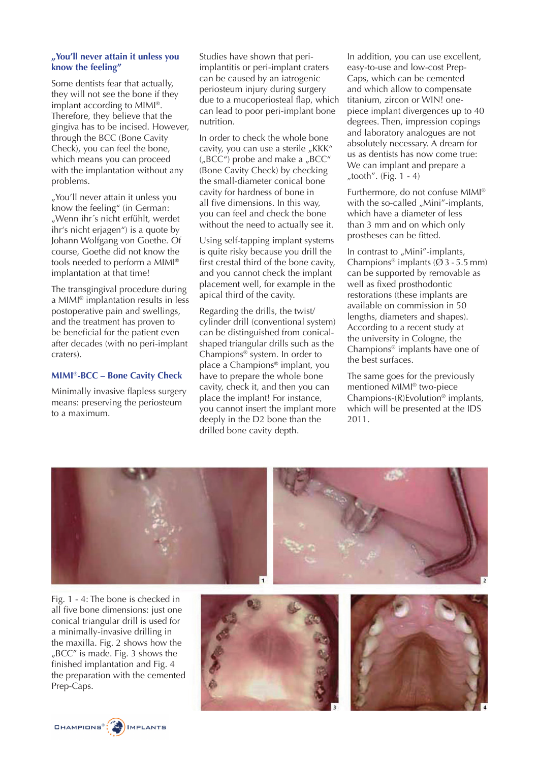#### **"You'll never attain it unless you know the feeling"**

Some dentists fear that actually, they will not see the bone if they implant according to MIMI®. Therefore, they believe that the gingiva has to be incised. However, through the BCC (Bone Cavity Check), you can feel the bone, which means you can proceed with the implantation without any problems.

"You'll never attain it unless you know the feeling" (in German: "Wenn ihr´s nicht erfühlt, werdet ihr's nicht erjagen") is a quote by Johann Wolfgang von Goethe. Of course, Goethe did not know the tools needed to perform a MIMI® implantation at that time!

The transgingival procedure during a MIMI® implantation results in less postoperative pain and swellings, and the treatment has proven to be beneficial for the patient even after decades (with no peri-implant craters).

#### **MIMI®-BCC – Bone Cavity Check**

Minimally invasive flapless surgery means: preserving the periosteum to a maximum.

Studies have shown that periimplantitis or peri-implant craters can be caused by an iatrogenic periosteum injury during surgery due to a mucoperiosteal flap, which can lead to poor peri-implant bone nutrition.

In order to check the whole bone cavity, you can use a sterile "KKK"  $U_nBCC'$ ) probe and make a  $U_nBCC''$ (Bone Cavity Check) by checking the small-diameter conical bone cavity for hardness of bone in all five dimensions. In this way, you can feel and check the bone without the need to actually see it.

Using self-tapping implant systems is quite risky because you drill the first crestal third of the bone cavity, and you cannot check the implant placement well, for example in the apical third of the cavity.

Regarding the drills, the twist/ cylinder drill (conventional system) can be distinguished from conicalshaped triangular drills such as the Champions® system. In order to place a Champions® implant, you have to prepare the whole bone cavity, check it, and then you can place the implant! For instance, you cannot insert the implant more deeply in the D2 bone than the drilled bone cavity depth.

In addition, you can use excellent, easy-to-use and low-cost Prep-Caps, which can be cemented and which allow to compensate titanium, zircon or WIN! onepiece implant divergences up to 40 degrees. Then, impression copings and laboratory analogues are not absolutely necessary. A dream for us as dentists has now come true: We can implant and prepare a "tooth". (Fig.  $1 - 4$ )

Furthermore, do not confuse MIMI® with the so-called "Mini"-implants, which have a diameter of less than 3 mm and on which only prostheses can be fitted.

In contrast to "Mini"-implants, Champions<sup>®</sup> implants ( $\varnothing$  3 - 5.5 mm) can be supported by removable as well as fixed prosthodontic restorations (these implants are available on commission in 50 lengths, diameters and shapes). According to a recent study at the university in Cologne, the Champions® implants have one of the best surfaces.

The same goes for the previously mentioned MIMI® two-piece Champions- $(R)$ Evolution<sup>®</sup> implants, which will be presented at the IDS 2011.



Fig. 1 - 4: The bone is checked in all five bone dimensions: just one conical triangular drill is used for a minimally-invasive drilling in the maxilla. Fig. 2 shows how the "BCC" is made. Fig. 3 shows the finished implantation and Fig. 4 the preparation with the cemented Prep-Caps.